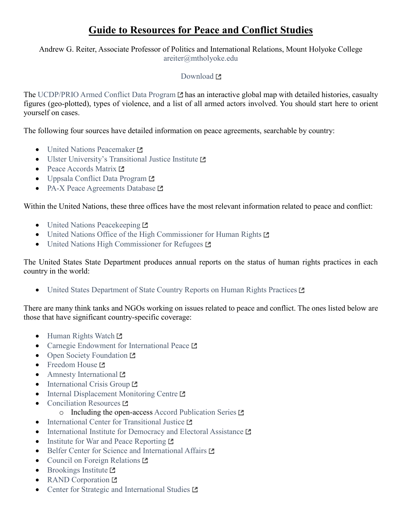## **Guide to Resources for Peace and Conflict Studies**

## Andrew G. Reiter, Associate Professor of Politics and International Relations, Mount Holyoke College [areiter@mtholyoke.edu](mailto:areiter@mtholyoke.edu)

## [Download](http://www.andyreiter.com/student-resources/)<sub>[2]</sub>

The [UCDP/PRIO Armed Conflict Data Program](http://ucdp.uu.se/?id=1)  $\Box$  has an interactive global map with detailed histories, casualty figures (geo-plotted), types of violence, and a list of all armed actors involved. You should start here to orient yourself on cases.

The following four sources have detailed information on peace agreements, searchable by country:

- [United Nations Peacemaker](http://peacemaker.un.org/) L
- $\bullet$  [Ulster University's Transitional Justice Institute](http://www.peaceagreements.ulster.ac.uk/)  $\square$
- [Peace Accords Matrix](https://peaceaccords.nd.edu/) L
- [Uppsala Conflict Data Program](http://ucdp.uu.se/downloads/fullpeace.html) L
- [PA-X Peace Agreements Database](https://www.peaceagreements.org/) L

Within the United Nations, these three offices have the most relevant information related to peace and conflict:

- [United Nations Peacekeeping](https://peacekeeping.un.org/en) L
- [United Nations Office of the High Commissioner for Human Rights](http://www.ohchr.org/EN/pages/home.aspx) L'
- $\bullet$  [United Nations High Commissioner for Refugees](http://www.unhcr.org/en-us)  $\blacksquare$

The United States State Department produces annual reports on the status of human rights practices in each country in the world:

• [United States Department of State Country Reports on Human Rights Practices](https://www.state.gov/j/drl/rls/hrrpt/)  $\square$ 

There are many think tanks and NGOs working on issues related to peace and conflict. The ones listed below are those that have significant country-specific coverage:

- $\bullet$  [Human Rights Watch](https://www.hrw.org/)  $\blacksquare$
- [Carnegie Endowment for International Peace](http://carnegieendowment.org/)  $\square$
- $\bullet$  [Open Society Foundation](https://www.opensocietyfoundations.org/)  $\square$
- [Freedom House](https://freedomhouse.org/) L'
- [Amnesty International](https://www.amnestyusa.org/) L
- $\bullet$  [International Crisis Group](https://www.crisisgroup.org/)  $\Xi$
- $\bullet$  [Internal Displacement Monitoring Centre](http://www.internal-displacement.org/)  $\blacksquare$
- $\bullet$  [Conciliation Resources](http://www.c-r.org/)  $\Xi$ 
	- $\circ$  Including the open-access [Accord Publication Series](http://www.c-r.org/accord)  $\Box$
- $\bullet$  [International Center for Transitional Justice](https://www.ictj.org/)  $\blacksquare$
- $\bullet$  [International Institute for Democracy and Electoral Assistance](https://www.idea.int/)  $\blacksquare$
- [Institute for War and Peace Reporting](https://iwpr.net/)  $\blacksquare$
- [Belfer Center for Science and International Affairs](http://www.belfercenter.org/) L'
- [Council on Foreign Relations](https://www.cfr.org/) L
- $\bullet$  [Brookings Institute](https://www.brookings.edu/)  $\blacksquare$
- [RAND Corporation](http://www.rand.org/)  $P$
- [Center for Strategic and International Studies](https://www.csis.org/) L